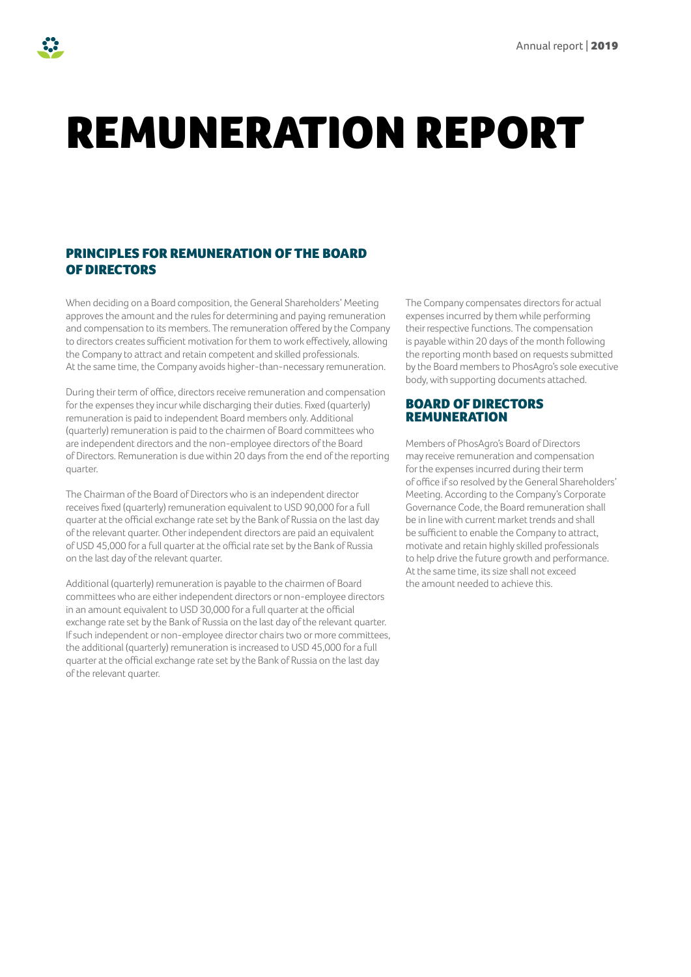# REMUNERATION REPORT

## PRINCIPLES FOR REMUNERATION OF THE BOARD OF DIRECTORS

When deciding on a Board composition, the General Shareholders' Meeting approves the amount and the rules for determining and paying remuneration and compensation to its members. The remuneration offered by the Company to directors creates sufficient motivation for them to work effectively, allowing the Company to attract and retain competent and skilled professionals. At the same time, the Company avoids higher-than-necessary remuneration.

During their term of office, directors receive remuneration and compensation for the expenses they incur while discharging their duties. Fixed (quarterly) remuneration is paid to independent Board members only. Additional (quarterly) remuneration is paid to the chairmen of Board committees who are independent directors and the non-employee directors of the Board of Directors. Remuneration is due within 20 days from the end of the reporting quarter.

The Chairman of the Board of Directors who is an independent director receives fixed (quarterly) remuneration equivalent to USD 90,000 for a full quarter at the official exchange rate set by the Bank of Russia on the last day of the relevant quarter. Other independent directors are paid an equivalent of USD 45,000 for a full quarter at the official rate set by the Bank of Russia on the last day of the relevant quarter.

Additional (quarterly) remuneration is payable to the chairmen of Board committees who are either independent directors or non-employee directors in an amount equivalent to USD 30,000 for a full quarter at the official exchange rate set by the Bank of Russia on the last day of the relevant quarter. If such independent or non-employee director chairs two or more committees, the additional (quarterly) remuneration is increased to USD 45,000 for a full quarter at the official exchange rate set by the Bank of Russia on the last day of the relevant quarter.

The Company compensates directors for actual expenses incurred by them while performing their respective functions. The compensation is payable within 20 days of the month following the reporting month based on requests submitted by the Board members to PhosAgro's sole executive body, with supporting documents attached.

#### BOARD OF DIRECTORS REMUNERATION

Members of PhosAgro's Board of Directors may receive remuneration and compensation for the expenses incurred during their term of office if so resolved by the General Shareholders' Meeting. According to the Company's Corporate Governance Code, the Board remuneration shall be in line with current market trends and shall be sufficient to enable the Company to attract, motivate and retain highly skilled professionals to help drive the future growth and performance. At the same time, its size shall not exceed the amount needed to achieve this.